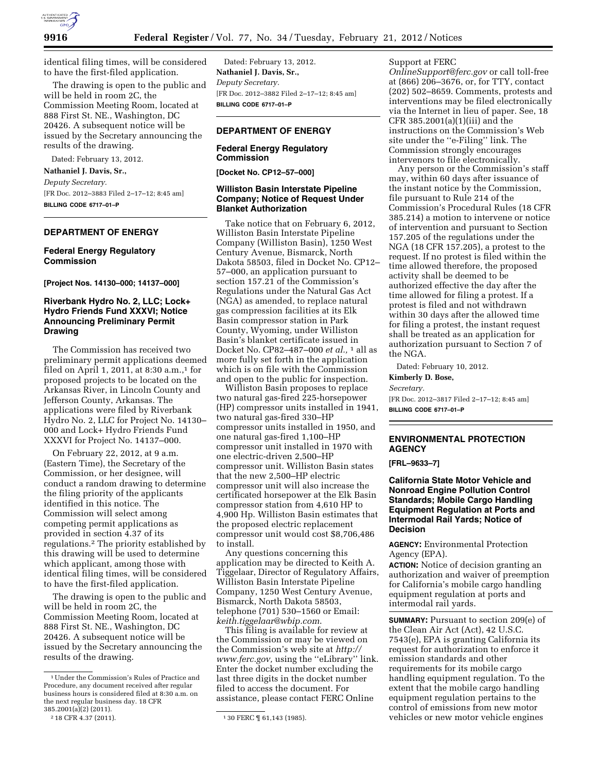

identical filing times, will be considered to have the first-filed application.

The drawing is open to the public and will be held in room 2C, the Commission Meeting Room, located at 888 First St. NE., Washington, DC 20426. A subsequent notice will be issued by the Secretary announcing the results of the drawing.

Dated: February 13, 2012. **Nathaniel J. Davis, Sr.,** 

*Deputy Secretary.*  [FR Doc. 2012–3883 Filed 2–17–12; 8:45 am] **BILLING CODE 6717–01–P** 

#### **DEPARTMENT OF ENERGY**

# **Federal Energy Regulatory Commission**

**[Project Nos. 14130–000; 14137–000]** 

# **Riverbank Hydro No. 2, LLC; Lock+ Hydro Friends Fund XXXVI; Notice Announcing Preliminary Permit Drawing**

The Commission has received two preliminary permit applications deemed filed on April 1, 2011, at 8:30 a.m., $1$  for proposed projects to be located on the Arkansas River, in Lincoln County and Jefferson County, Arkansas. The applications were filed by Riverbank Hydro No. 2, LLC for Project No. 14130– 000 and Lock+ Hydro Friends Fund XXXVI for Project No. 14137–000.

On February 22, 2012, at 9 a.m. (Eastern Time), the Secretary of the Commission, or her designee, will conduct a random drawing to determine the filing priority of the applicants identified in this notice. The Commission will select among competing permit applications as provided in section 4.37 of its regulations.2 The priority established by this drawing will be used to determine which applicant, among those with identical filing times, will be considered to have the first-filed application.

The drawing is open to the public and will be held in room 2C, the Commission Meeting Room, located at 888 First St. NE., Washington, DC 20426. A subsequent notice will be issued by the Secretary announcing the results of the drawing.

Dated: February 13, 2012. **Nathaniel J. Davis, Sr.,**  *Deputy Secretary.*  [FR Doc. 2012–3882 Filed 2–17–12; 8:45 am] **BILLING CODE 6717–01–P** 

#### **DEPARTMENT OF ENERGY**

## **Federal Energy Regulatory Commission**

**[Docket No. CP12–57–000]** 

## **Williston Basin Interstate Pipeline Company; Notice of Request Under Blanket Authorization**

Take notice that on February 6, 2012, Williston Basin Interstate Pipeline Company (Williston Basin), 1250 West Century Avenue, Bismarck, North Dakota 58503, filed in Docket No. CP12– 57–000, an application pursuant to section 157.21 of the Commission's Regulations under the Natural Gas Act (NGA) as amended, to replace natural gas compression facilities at its Elk Basin compressor station in Park County, Wyoming, under Williston Basin's blanket certificate issued in Docket No. CP82–487–000 *et al.,* 1 all as more fully set forth in the application which is on file with the Commission and open to the public for inspection.

Williston Basin proposes to replace two natural gas-fired 225-horsepower (HP) compressor units installed in 1941, two natural gas-fired 330–HP compressor units installed in 1950, and one natural gas-fired 1,100–HP compressor unit installed in 1970 with one electric-driven 2,500–HP compressor unit. Williston Basin states that the new 2,500–HP electric compressor unit will also increase the certificated horsepower at the Elk Basin compressor station from 4,610 HP to 4,900 Hp. Williston Basin estimates that the proposed electric replacement compressor unit would cost \$8,706,486 to install.

Any questions concerning this application may be directed to Keith A. Tiggelaar, Director of Regulatory Affairs, Williston Basin Interstate Pipeline Company, 1250 West Century Avenue, Bismarck, North Dakota 58503, telephone (701) 530–1560 or Email: *[keith.tiggelaar@wbip.com](mailto:keith.tiggelaar@wbip.com)*.

This filing is available for review at the Commission or may be viewed on the Commission's web site at *[http://](http://www.ferc.gov)  [www.ferc.gov,](http://www.ferc.gov)* using the ''eLibrary'' link. Enter the docket number excluding the last three digits in the docket number filed to access the document. For assistance, please contact FERC Online

Support at FERC

*[OnlineSupport@ferc.gov](mailto:OnlineSupport@ferc.gov)* or call toll-free at (866) 206–3676, or, for TTY, contact (202) 502–8659. Comments, protests and interventions may be filed electronically via the Internet in lieu of paper. See, 18 CFR 385.2001(a)(1)(iii) and the instructions on the Commission's Web site under the ''e-Filing'' link. The Commission strongly encourages intervenors to file electronically.

Any person or the Commission's staff may, within 60 days after issuance of the instant notice by the Commission, file pursuant to Rule 214 of the Commission's Procedural Rules (18 CFR 385.214) a motion to intervene or notice of intervention and pursuant to Section 157.205 of the regulations under the NGA (18 CFR 157.205), a protest to the request. If no protest is filed within the time allowed therefore, the proposed activity shall be deemed to be authorized effective the day after the time allowed for filing a protest. If a protest is filed and not withdrawn within 30 days after the allowed time for filing a protest, the instant request shall be treated as an application for authorization pursuant to Section 7 of the NGA.

Dated: February 10, 2012.

#### **Kimberly D. Bose,**

*Secretary.* 

[FR Doc. 2012–3817 Filed 2–17–12; 8:45 am] **BILLING CODE 6717–01–P** 

## **ENVIRONMENTAL PROTECTION AGENCY**

**[FRL–9633–7]** 

# **California State Motor Vehicle and Nonroad Engine Pollution Control Standards; Mobile Cargo Handling Equipment Regulation at Ports and Intermodal Rail Yards; Notice of Decision**

**AGENCY:** Environmental Protection Agency (EPA).

**ACTION:** Notice of decision granting an authorization and waiver of preemption for California's mobile cargo handling equipment regulation at ports and intermodal rail yards.

**SUMMARY:** Pursuant to section 209(e) of the Clean Air Act (Act), 42 U.S.C. 7543(e), EPA is granting California its request for authorization to enforce it emission standards and other requirements for its mobile cargo handling equipment regulation. To the extent that the mobile cargo handling equipment regulation pertains to the control of emissions from new motor vehicles or new motor vehicle engines

<sup>1</sup>Under the Commission's Rules of Practice and Procedure, any document received after regular business hours is considered filed at 8:30 a.m. on the next regular business day. 18 CFR 385.2001(a)(2) (2011).

<sup>&</sup>lt;sup>2</sup> 18 CFR 4.37 (2011). <sup>1</sup> 30 FERC [[ 61,143 (1985).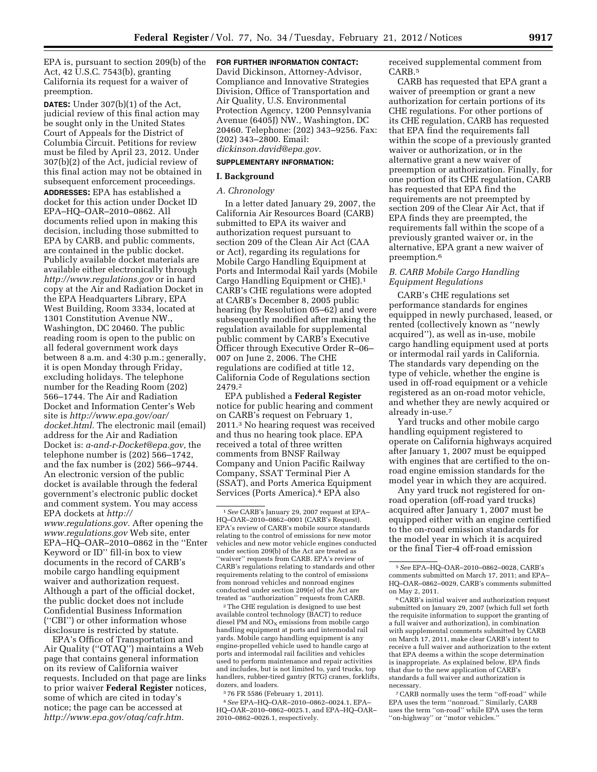EPA is, pursuant to section 209(b) of the Act, 42 U.S.C. 7543(b), granting California its request for a waiver of preemption.

**DATES:** Under 307(b)(1) of the Act, judicial review of this final action may be sought only in the United States Court of Appeals for the District of Columbia Circuit. Petitions for review must be filed by April 23, 2012. Under 307(b)(2) of the Act, judicial review of this final action may not be obtained in subsequent enforcement proceedings. **ADDRESSES:** EPA has established a docket for this action under Docket ID EPA–HQ–OAR–2010–0862. All documents relied upon in making this decision, including those submitted to EPA by CARB, and public comments, are contained in the public docket. Publicly available docket materials are available either electronically through *<http://www.regulations.gov>* or in hard copy at the Air and Radiation Docket in the EPA Headquarters Library, EPA West Building, Room 3334, located at 1301 Constitution Avenue NW., Washington, DC 20460. The public reading room is open to the public on all federal government work days between 8 a.m. and 4:30 p.m.; generally, it is open Monday through Friday, excluding holidays. The telephone number for the Reading Room (202) 566–1744. The Air and Radiation Docket and Information Center's Web site is *[http://www.epa.gov/oar/](http://www.epa.gov/oar/docket.html) [docket.html.](http://www.epa.gov/oar/docket.html)* The electronic mail (email) address for the Air and Radiation Docket is: *[a-and-r-Docket@epa.gov,](mailto:a-and-r-Docket@epa.gov)* the telephone number is (202) 566–1742, and the fax number is (202) 566–9744. An electronic version of the public docket is available through the federal government's electronic public docket and comment system. You may access EPA dockets at *[http://](http://www.regulations.gov)  [www.regulations.gov.](http://www.regulations.gov)* After opening the *[www.regulations.gov](http://www.regulations.gov)* Web site, enter EPA–HQ–OAR–2010–0862 in the ''Enter Keyword or ID'' fill-in box to view documents in the record of CARB's mobile cargo handling equipment waiver and authorization request. Although a part of the official docket,

the public docket does not include Confidential Business Information (''CBI'') or other information whose disclosure is restricted by statute. EPA's Office of Transportation and

Air Quality (''OTAQ'') maintains a Web page that contains general information on its review of California waiver requests. Included on that page are links to prior waiver **Federal Register** notices, some of which are cited in today's notice; the page can be accessed at *[http://www.epa.gov/otaq/cafr.htm.](http://www.epa.gov/otaq/cafr.htm)* 

# **FOR FURTHER INFORMATION CONTACT:**

David Dickinson, Attorney-Advisor, Compliance and Innovative Strategies Division, Office of Transportation and Air Quality, U.S. Environmental Protection Agency, 1200 Pennsylvania Avenue (6405J) NW., Washington, DC 20460. Telephone: (202) 343–9256. Fax: (202) 343–2800. Email: *[dickinson.david@epa.gov.](mailto:dickinson.david@epa.gov)* 

#### **SUPPLEMENTARY INFORMATION:**

#### **I. Background**

#### *A. Chronology*

In a letter dated January 29, 2007, the California Air Resources Board (CARB) submitted to EPA its waiver and authorization request pursuant to section 209 of the Clean Air Act (CAA or Act), regarding its regulations for Mobile Cargo Handling Equipment at Ports and Intermodal Rail yards (Mobile Cargo Handling Equipment or CHE).1 CARB's CHE regulations were adopted at CARB's December 8, 2005 public hearing (by Resolution 05–62) and were subsequently modified after making the regulation available for supplemental public comment by CARB's Executive Officer through Executive Order R–06– 007 on June 2, 2006. The CHE regulations are codified at title 12, California Code of Regulations section 2479.2

EPA published a **Federal Register**  notice for public hearing and comment on CARB's request on February 1, 2011.3 No hearing request was received and thus no hearing took place. EPA received a total of three written comments from BNSF Railway Company and Union Pacific Railway Company, SSAT Terminal Pier A (SSAT), and Ports America Equipment Services (Ports America).4 EPA also

2The CHE regulation is designed to use best available control technology (BACT) to reduce diesel PM and  $NO<sub>x</sub>$  emissions from mobile cargo handling equipment at ports and intermodal rail yards. Mobile cargo handling equipment is any engine-propelled vehicle used to handle cargo at ports and intermodal rail facilities and vehicles used to perform maintenance and repair activities and includes, but is not limited to, yard trucks, top handlers, rubber-tired gantry (RTG) cranes, forklifts, dozers, and loaders.

3 76 FR 5586 (February 1, 2011).

4*See* EPA–HQ–OAR–2010–0862–0024.1, EPA– HQ–OAR–2010–0862–0025.1, and EPA–HQ–OAR– 2010–0862–0026.1, respectively.

received supplemental comment from CARB.5

CARB has requested that EPA grant a waiver of preemption or grant a new authorization for certain portions of its CHE regulations. For other portions of its CHE regulation, CARB has requested that EPA find the requirements fall within the scope of a previously granted waiver or authorization, or in the alternative grant a new waiver of preemption or authorization. Finally, for one portion of its CHE regulation, CARB has requested that EPA find the requirements are not preempted by section 209 of the Clear Air Act, that if EPA finds they are preempted, the requirements fall within the scope of a previously granted waiver or, in the alternative, EPA grant a new waiver of preemption.6

# *B. CARB Mobile Cargo Handling Equipment Regulations*

CARB's CHE regulations set performance standards for engines equipped in newly purchased, leased, or rented (collectively known as ''newly acquired''), as well as in-use, mobile cargo handling equipment used at ports or intermodal rail yards in California. The standards vary depending on the type of vehicle, whether the engine is used in off-road equipment or a vehicle registered as an on-road motor vehicle, and whether they are newly acquired or already in-use.7

Yard trucks and other mobile cargo handling equipment registered to operate on California highways acquired after January 1, 2007 must be equipped with engines that are certified to the onroad engine emission standards for the model year in which they are acquired.

Any yard truck not registered for onroad operation (off-road yard trucks) acquired after January 1, 2007 must be equipped either with an engine certified to the on-road emission standards for the model year in which it is acquired or the final Tier-4 off-road emission

6CARB's initial waiver and authorization request submitted on January 29, 2007 (which full set forth the requisite information to support the granting of a full waiver and authorization), in combination with supplemental comments submitted by CARB on March 17, 2011, make clear CARB's intent to receive a full waiver and authorization to the extent that EPA deems a within the scope determination is inappropriate. As explained below, EPA finds that due to the new application of CARB's standards a full waiver and authorization is necessary.

7CARB normally uses the term ''off-road'' while EPA uses the term ''nonroad.'' Similarly, CARB uses the term ''on-road'' while EPA uses the term ''on-highway'' or ''motor vehicles.''

<sup>1</sup>*See* CARB's January 29, 2007 request at EPA– HQ–OAR–2010–0862–0001 (CARB's Request). EPA's review of CARB's mobile source standards relating to the control of emissions for new motor vehicles and new motor vehicle engines conducted under section 209(b) of the Act are treated as ''waiver'' requests from CARB. EPA's review of CARB's regulations relating to standards and other requirements relating to the control of emissions from nonroad vehicles and nonroad engines conducted under section 209(e) of the Act are treated as ''authorization'' requests from CARB.

<sup>5</sup>*See* EPA–HQ–OAR–2010–0862–0028, CARB's comments submitted on March 17, 2011; and EPA– HQ–OAR–0862–0029, CARB's comments submitted on May 2, 2011.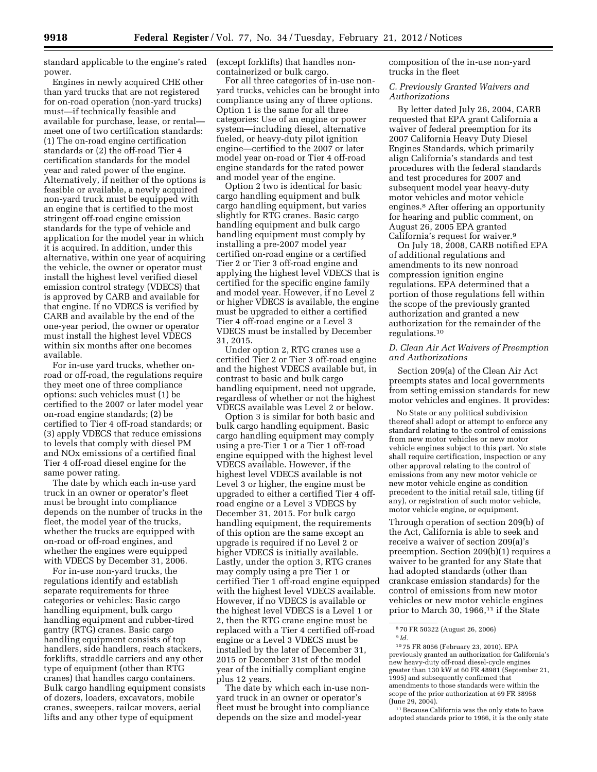standard applicable to the engine's rated power.

Engines in newly acquired CHE other than yard trucks that are not registered for on-road operation (non-yard trucks) must—if technically feasible and available for purchase, lease, or rental meet one of two certification standards: (1) The on-road engine certification standards or (2) the off-road Tier 4 certification standards for the model year and rated power of the engine. Alternatively, if neither of the options is feasible or available, a newly acquired non-yard truck must be equipped with an engine that is certified to the most stringent off-road engine emission standards for the type of vehicle and application for the model year in which it is acquired. In addition, under this alternative, within one year of acquiring the vehicle, the owner or operator must install the highest level verified diesel emission control strategy (VDECS) that is approved by CARB and available for that engine. If no VDECS is verified by CARB and available by the end of the one-year period, the owner or operator must install the highest level VDECS within six months after one becomes available.

For in-use yard trucks, whether onroad or off-road, the regulations require they meet one of three compliance options: such vehicles must (1) be certified to the 2007 or later model year on-road engine standards; (2) be certified to Tier 4 off-road standards; or (3) apply VDECS that reduce emissions to levels that comply with diesel PM and NOx emissions of a certified final Tier 4 off-road diesel engine for the same power rating.

The date by which each in-use yard truck in an owner or operator's fleet must be brought into compliance depends on the number of trucks in the fleet, the model year of the trucks, whether the trucks are equipped with on-road or off-road engines, and whether the engines were equipped with VDECS by December 31, 2006.

For in-use non-yard trucks, the regulations identify and establish separate requirements for three categories or vehicles: Basic cargo handling equipment, bulk cargo handling equipment and rubber-tired gantry (RTG) cranes. Basic cargo handling equipment consists of top handlers, side handlers, reach stackers, forklifts, straddle carriers and any other type of equipment (other than RTG cranes) that handles cargo containers. Bulk cargo handling equipment consists of dozers, loaders, excavators, mobile cranes, sweepers, railcar movers, aerial lifts and any other type of equipment

(except forklifts) that handles noncontainerized or bulk cargo.

For all three categories of in-use nonyard trucks, vehicles can be brought into compliance using any of three options. Option 1 is the same for all three categories: Use of an engine or power system—including diesel, alternative fueled, or heavy-duty pilot ignition engine—certified to the 2007 or later model year on-road or Tier 4 off-road engine standards for the rated power and model year of the engine.

Option 2 two is identical for basic cargo handling equipment and bulk cargo handling equipment, but varies slightly for RTG cranes. Basic cargo handling equipment and bulk cargo handling equipment must comply by installing a pre-2007 model year certified on-road engine or a certified Tier 2 or Tier 3 off-road engine and applying the highest level VDECS that is certified for the specific engine family and model year. However, if no Level 2 or higher VDECS is available, the engine must be upgraded to either a certified Tier 4 off-road engine or a Level 3 VDECS must be installed by December 31, 2015.

Under option 2, RTG cranes use a certified Tier 2 or Tier 3 off-road engine and the highest VDECS available but, in contrast to basic and bulk cargo handling equipment, need not upgrade, regardless of whether or not the highest VDECS available was Level 2 or below.

Option 3 is similar for both basic and bulk cargo handling equipment. Basic cargo handling equipment may comply using a pre-Tier 1 or a Tier 1 off-road engine equipped with the highest level VDECS available. However, if the highest level VDECS available is not Level 3 or higher, the engine must be upgraded to either a certified Tier 4 offroad engine or a Level 3 VDECS by December 31, 2015. For bulk cargo handling equipment, the requirements of this option are the same except an upgrade is required if no Level 2 or higher VDECS is initially available. Lastly, under the option 3, RTG cranes may comply using a pre Tier 1 or certified Tier 1 off-road engine equipped with the highest level VDECS available. However, if no VDECS is available or the highest level VDECS is a Level 1 or 2, then the RTG crane engine must be replaced with a Tier 4 certified off-road engine or a Level 3 VDECS must be installed by the later of December 31, 2015 or December 31st of the model year of the initially compliant engine plus 12 years.

The date by which each in-use nonyard truck in an owner or operator's fleet must be brought into compliance depends on the size and model-year

composition of the in-use non-yard trucks in the fleet

*C. Previously Granted Waivers and Authorizations* 

By letter dated July 26, 2004, CARB requested that EPA grant California a waiver of federal preemption for its 2007 California Heavy Duty Diesel Engines Standards, which primarily align California's standards and test procedures with the federal standards and test procedures for 2007 and subsequent model year heavy-duty motor vehicles and motor vehicle engines.8 After offering an opportunity for hearing and public comment, on August 26, 2005 EPA granted California's request for waiver.9

On July 18, 2008, CARB notified EPA of additional regulations and amendments to its new nonroad compression ignition engine regulations. EPA determined that a portion of those regulations fell within the scope of the previously granted authorization and granted a new authorization for the remainder of the regulations.10

# *D. Clean Air Act Waivers of Preemption and Authorizations*

Section 209(a) of the Clean Air Act preempts states and local governments from setting emission standards for new motor vehicles and engines. It provides:

No State or any political subdivision thereof shall adopt or attempt to enforce any standard relating to the control of emissions from new motor vehicles or new motor vehicle engines subject to this part. No state shall require certification, inspection or any other approval relating to the control of emissions from any new motor vehicle or new motor vehicle engine as condition precedent to the initial retail sale, titling (if any), or registration of such motor vehicle, motor vehicle engine, or equipment.

Through operation of section 209(b) of the Act, California is able to seek and receive a waiver of section 209(a)'s preemption. Section 209(b)(1) requires a waiver to be granted for any State that had adopted standards (other than crankcase emission standards) for the control of emissions from new motor vehicles or new motor vehicle engines prior to March 30, 1966,<sup>11</sup> if the State

11Because California was the only state to have adopted standards prior to 1966, it is the only state

<sup>8</sup> 70 FR 50322 (August 26, 2006) 9 *Id.* 

<sup>10</sup> 75 FR 8056 (February 23, 2010). EPA previously granted an authorization for California's new heavy-duty off-road diesel-cycle engines greater than 130 kW at 60 FR 48981 (September 21, 1995) and subsequently confirmed that amendments to those standards were within the scope of the prior authorization at 69 FR 38958 (June 29, 2004).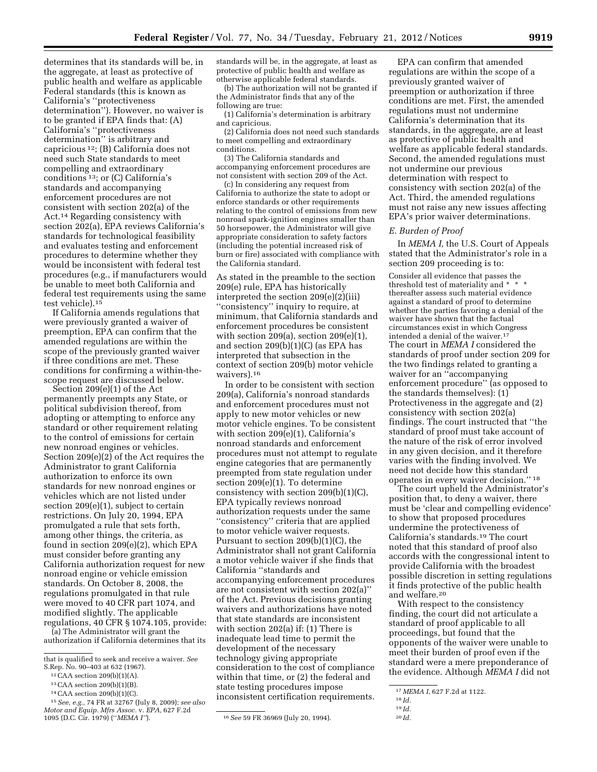determines that its standards will be, in the aggregate, at least as protective of public health and welfare as applicable Federal standards (this is known as California's ''protectiveness determination''). However, no waiver is to be granted if EPA finds that: (A) California's ''protectiveness determination'' is arbitrary and capricious 12; (B) California does not need such State standards to meet compelling and extraordinary conditions 13; or (C) California's standards and accompanying enforcement procedures are not consistent with section 202(a) of the Act.14 Regarding consistency with section 202(a), EPA reviews California's standards for technological feasibility and evaluates testing and enforcement procedures to determine whether they would be inconsistent with federal test procedures (e.g., if manufacturers would be unable to meet both California and

federal test requirements using the same test vehicle).15 If California amends regulations that were previously granted a waiver of

preemption, EPA can confirm that the amended regulations are within the scope of the previously granted waiver if three conditions are met. These conditions for confirming a within-thescope request are discussed below.

Section 209(e)(1) of the Act permanently preempts any State, or political subdivision thereof, from adopting or attempting to enforce any standard or other requirement relating to the control of emissions for certain new nonroad engines or vehicles. Section 209(e)(2) of the Act requires the Administrator to grant California authorization to enforce its own standards for new nonroad engines or vehicles which are not listed under section 209(e)(1), subject to certain restrictions. On July 20, 1994, EPA promulgated a rule that sets forth, among other things, the criteria, as found in section 209(e)(2), which EPA must consider before granting any California authorization request for new nonroad engine or vehicle emission standards. On October 8, 2008, the regulations promulgated in that rule were moved to 40 CFR part 1074, and modified slightly. The applicable regulations, 40 CFR § 1074.105, provide:

(a) The Administrator will grant the authorization if California determines that its

15*See, e.g.,* 74 FR at 32767 (July 8, 2009); *see also Motor and Equip. Mfrs Assoc.* v. *EPA,* 627 F.2d

standards will be, in the aggregate, at least as protective of public health and welfare as otherwise applicable federal standards.

(b) The authorization will not be granted if the Administrator finds that any of the following are true:

(1) California's determination is arbitrary and capricious.

(2) California does not need such standards to meet compelling and extraordinary conditions.

(3) The California standards and accompanying enforcement procedures are not consistent with section 209 of the Act.

(c) In considering any request from California to authorize the state to adopt or enforce standards or other requirements relating to the control of emissions from new nonroad spark-ignition engines smaller than 50 horsepower, the Administrator will give appropriate consideration to safety factors (including the potential increased risk of burn or fire) associated with compliance with the California standard.

As stated in the preamble to the section 209(e) rule, EPA has historically interpreted the section 209(e)(2)(iii) ''consistency'' inquiry to require, at minimum, that California standards and enforcement procedures be consistent with section 209 $(a)$ , section 209 $(e)(1)$ , and section 209(b)(1)(C) (as EPA has interpreted that subsection in the context of section 209(b) motor vehicle waivers).16

In order to be consistent with section 209(a), California's nonroad standards and enforcement procedures must not apply to new motor vehicles or new motor vehicle engines. To be consistent with section 209(e)(1), California's nonroad standards and enforcement procedures must not attempt to regulate engine categories that are permanently preempted from state regulation under section 209(e)(1). To determine consistency with section 209(b)(1)(C), EPA typically reviews nonroad authorization requests under the same ''consistency'' criteria that are applied to motor vehicle waiver requests. Pursuant to section 209(b)(1)(C), the Administrator shall not grant California a motor vehicle waiver if she finds that California ''standards and accompanying enforcement procedures are not consistent with section 202(a)'' of the Act. Previous decisions granting waivers and authorizations have noted that state standards are inconsistent with section 202(a) if: (1) There is inadequate lead time to permit the development of the necessary technology giving appropriate consideration to the cost of compliance within that time, or (2) the federal and state testing procedures impose inconsistent certification requirements.

EPA can confirm that amended regulations are within the scope of a previously granted waiver of preemption or authorization if three conditions are met. First, the amended regulations must not undermine California's determination that its standards, in the aggregate, are at least as protective of public health and welfare as applicable federal standards. Second, the amended regulations must not undermine our previous determination with respect to consistency with section 202(a) of the Act. Third, the amended regulations must not raise any new issues affecting EPA's prior waiver determinations.

#### *E. Burden of Proof*

In *MEMA I,* the U.S. Court of Appeals stated that the Administrator's role in a section 209 proceeding is to:

Consider all evidence that passes the threshold test of materiality and \* \* \* thereafter assess such material evidence against a standard of proof to determine whether the parties favoring a denial of the waiver have shown that the factual circumstances exist in which Congress intended a denial of the waiver.17 The court in *MEMA I* considered the standards of proof under section 209 for the two findings related to granting a waiver for an ''accompanying enforcement procedure'' (as opposed to the standards themselves): (1) Protectiveness in the aggregate and (2) consistency with section 202(a) findings. The court instructed that ''the standard of proof must take account of the nature of the risk of error involved in any given decision, and it therefore varies with the finding involved. We need not decide how this standard operates in every waiver decision.'' 18

The court upheld the Administrator's position that, to deny a waiver, there must be 'clear and compelling evidence' to show that proposed procedures undermine the protectiveness of California's standards.19 The court noted that this standard of proof also accords with the congressional intent to provide California with the broadest possible discretion in setting regulations it finds protective of the public health and welfare.20

With respect to the consistency finding, the court did not articulate a standard of proof applicable to all proceedings, but found that the opponents of the waiver were unable to meet their burden of proof even if the standard were a mere preponderance of the evidence. Although *MEMA I* did not

that is qualified to seek and receive a waiver. *See*  S.Rep. No. 90–403 at 632 (1967).

<sup>12</sup>CAA section 209(b)(1)(A).

<sup>13</sup>CAA section 209(b)(1)(B).

<sup>14</sup>CAA section 209(b)(1)(C).

<sup>&</sup>lt;sup>16</sup> See 59 FR 36969 (July 20, 1994).

<sup>17</sup> *MEMA I,* 627 F.2d at 1122.

<sup>18</sup> *Id.*  19 *Id.* 

<sup>20</sup> *Id.*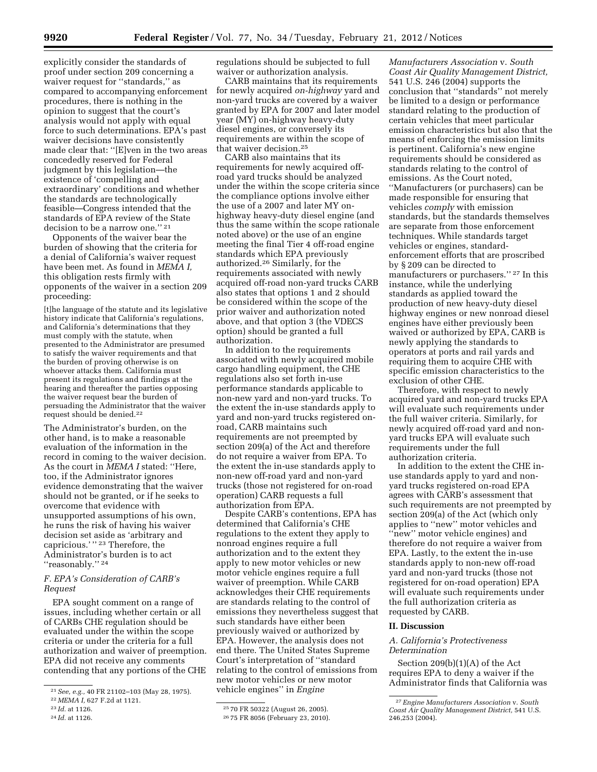explicitly consider the standards of proof under section 209 concerning a waiver request for "standards," as compared to accompanying enforcement procedures, there is nothing in the opinion to suggest that the court's analysis would not apply with equal force to such determinations. EPA's past waiver decisions have consistently made clear that: ''[E]ven in the two areas concededly reserved for Federal judgment by this legislation—the existence of 'compelling and extraordinary' conditions and whether the standards are technologically feasible—Congress intended that the standards of EPA review of the State decision to be a narrow one.'' 21

Opponents of the waiver bear the burden of showing that the criteria for a denial of California's waiver request have been met. As found in *MEMA I,*  this obligation rests firmly with opponents of the waiver in a section 209 proceeding:

[t]he language of the statute and its legislative history indicate that California's regulations, and California's determinations that they must comply with the statute, when presented to the Administrator are presumed to satisfy the waiver requirements and that the burden of proving otherwise is on whoever attacks them. California must present its regulations and findings at the hearing and thereafter the parties opposing the waiver request bear the burden of persuading the Administrator that the waiver request should be denied.22

The Administrator's burden, on the other hand, is to make a reasonable evaluation of the information in the record in coming to the waiver decision. As the court in *MEMA I* stated: ''Here, too, if the Administrator ignores evidence demonstrating that the waiver should not be granted, or if he seeks to overcome that evidence with unsupported assumptions of his own, he runs the risk of having his waiver decision set aside as 'arbitrary and capricious.'"<sup>23</sup> Therefore, the Administrator's burden is to act "reasonably."<sup>24</sup>

# *F. EPA's Consideration of CARB's Request*

EPA sought comment on a range of issues, including whether certain or all of CARBs CHE regulation should be evaluated under the within the scope criteria or under the criteria for a full authorization and waiver of preemption. EPA did not receive any comments contending that any portions of the CHE

24 *Id.* at 1126.

regulations should be subjected to full waiver or authorization analysis.

CARB maintains that its requirements for newly acquired *on-highway* yard and non-yard trucks are covered by a waiver granted by EPA for 2007 and later model year (MY) on-highway heavy-duty diesel engines, or conversely its requirements are within the scope of that waiver decision.25

CARB also maintains that its requirements for newly acquired offroad yard trucks should be analyzed under the within the scope criteria since the compliance options involve either the use of a 2007 and later MY onhighway heavy-duty diesel engine (and thus the same within the scope rationale noted above) or the use of an engine meeting the final Tier 4 off-road engine standards which EPA previously authorized.26 Similarly, for the requirements associated with newly acquired off-road non-yard trucks CARB also states that options 1 and 2 should be considered within the scope of the prior waiver and authorization noted above, and that option 3 (the VDECS option) should be granted a full authorization.

In addition to the requirements associated with newly acquired mobile cargo handling equipment, the CHE regulations also set forth in-use performance standards applicable to non-new yard and non-yard trucks. To the extent the in-use standards apply to yard and non-yard trucks registered onroad, CARB maintains such requirements are not preempted by section 209(a) of the Act and therefore do not require a waiver from EPA. To the extent the in-use standards apply to non-new off-road yard and non-yard trucks (those not registered for on-road operation) CARB requests a full authorization from EPA.

Despite CARB's contentions, EPA has determined that California's CHE regulations to the extent they apply to nonroad engines require a full authorization and to the extent they apply to new motor vehicles or new motor vehicle engines require a full waiver of preemption. While CARB acknowledges their CHE requirements are standards relating to the control of emissions they nevertheless suggest that such standards have either been previously waived or authorized by EPA. However, the analysis does not end there. The United States Supreme Court's interpretation of ''standard relating to the control of emissions from new motor vehicles or new motor vehicle engines'' in *Engine* 

*Manufacturers Association* v. *South Coast Air Quality Management District,*  541 U.S. 246 (2004) supports the conclusion that ''standards'' not merely be limited to a design or performance standard relating to the production of certain vehicles that meet particular emission characteristics but also that the means of enforcing the emission limits is pertinent. California's new engine requirements should be considered as standards relating to the control of emissions. As the Court noted, ''Manufacturers (or purchasers) can be made responsible for ensuring that vehicles *comply* with emission standards, but the standards themselves are separate from those enforcement techniques. While standards target vehicles or engines, standardenforcement efforts that are proscribed by § 209 can be directed to manufacturers or purchasers.'' 27 In this instance, while the underlying standards as applied toward the production of new heavy-duty diesel highway engines or new nonroad diesel engines have either previously been waived or authorized by EPA, CARB is newly applying the standards to operators at ports and rail yards and requiring them to acquire CHE with specific emission characteristics to the exclusion of other CHE.

Therefore, with respect to newly acquired yard and non-yard trucks EPA will evaluate such requirements under the full waiver criteria. Similarly, for newly acquired off-road yard and nonyard trucks EPA will evaluate such requirements under the full authorization criteria.

In addition to the extent the CHE inuse standards apply to yard and nonyard trucks registered on-road EPA agrees with CARB's assessment that such requirements are not preempted by section 209(a) of the Act (which only applies to ''new'' motor vehicles and ''new'' motor vehicle engines) and therefore do not require a waiver from EPA. Lastly, to the extent the in-use standards apply to non-new off-road yard and non-yard trucks (those not registered for on-road operation) EPA will evaluate such requirements under the full authorization criteria as requested by CARB.

# **II. Discussion**

## *A. California's Protectiveness Determination*

Section 209(b)(1)(A) of the Act requires EPA to deny a waiver if the Administrator finds that California was

<sup>21</sup>*See, e.g.,* 40 FR 21102–103 (May 28, 1975).

<sup>22</sup> *MEMA I,* 627 F.2d at 1121.

<sup>23</sup> *Id.* at 1126.

<sup>25</sup> 70 FR 50322 (August 26, 2005).

<sup>26</sup> 75 FR 8056 (February 23, 2010).

<sup>27</sup>*Engine Manufacturers Association* v. *South Coast Air Quality Management District,* 541 U.S. 246,253 (2004).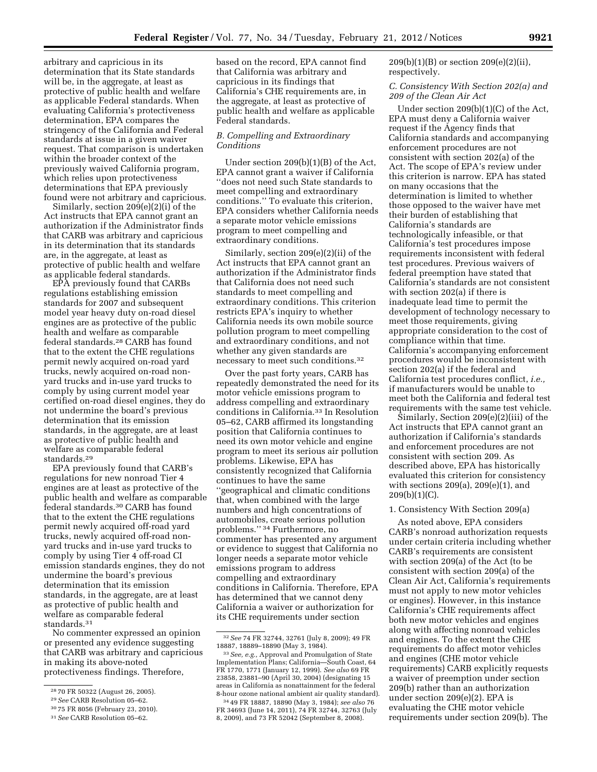arbitrary and capricious in its determination that its State standards will be, in the aggregate, at least as protective of public health and welfare as applicable Federal standards. When evaluating California's protectiveness determination, EPA compares the stringency of the California and Federal standards at issue in a given waiver request. That comparison is undertaken within the broader context of the previously waived California program, which relies upon protectiveness determinations that EPA previously found were not arbitrary and capricious.

Similarly, section 209(e)(2)(i) of the Act instructs that EPA cannot grant an authorization if the Administrator finds that CARB was arbitrary and capricious in its determination that its standards are, in the aggregate, at least as protective of public health and welfare as applicable federal standards.

EPA previously found that CARBs regulations establishing emission standards for 2007 and subsequent model year heavy duty on-road diesel engines are as protective of the public health and welfare as comparable federal standards.28 CARB has found that to the extent the CHE regulations permit newly acquired on-road yard trucks, newly acquired on-road nonyard trucks and in-use yard trucks to comply by using current model year certified on-road diesel engines, they do not undermine the board's previous determination that its emission standards, in the aggregate, are at least as protective of public health and welfare as comparable federal standards.29

EPA previously found that CARB's regulations for new nonroad Tier 4 engines are at least as protective of the public health and welfare as comparable federal standards.30 CARB has found that to the extent the CHE regulations permit newly acquired off-road yard trucks, newly acquired off-road nonyard trucks and in-use yard trucks to comply by using Tier 4 off-road CI emission standards engines, they do not undermine the board's previous determination that its emission standards, in the aggregate, are at least as protective of public health and welfare as comparable federal standards.31

No commenter expressed an opinion or presented any evidence suggesting that CARB was arbitrary and capricious in making its above-noted protectiveness findings. Therefore,

based on the record, EPA cannot find that California was arbitrary and capricious in its findings that California's CHE requirements are, in the aggregate, at least as protective of public health and welfare as applicable Federal standards.

## *B. Compelling and Extraordinary Conditions*

Under section 209(b)(1)(B) of the Act, EPA cannot grant a waiver if California ''does not need such State standards to meet compelling and extraordinary conditions.'' To evaluate this criterion, EPA considers whether California needs a separate motor vehicle emissions program to meet compelling and extraordinary conditions.

Similarly, section 209(e)(2)(ii) of the Act instructs that EPA cannot grant an authorization if the Administrator finds that California does not need such standards to meet compelling and extraordinary conditions. This criterion restricts EPA's inquiry to whether California needs its own mobile source pollution program to meet compelling and extraordinary conditions, and not whether any given standards are necessary to meet such conditions.32

Over the past forty years, CARB has repeatedly demonstrated the need for its motor vehicle emissions program to address compelling and extraordinary conditions in California.33 In Resolution 05–62, CARB affirmed its longstanding position that California continues to need its own motor vehicle and engine program to meet its serious air pollution problems. Likewise, EPA has consistently recognized that California continues to have the same ''geographical and climatic conditions that, when combined with the large numbers and high concentrations of automobiles, create serious pollution problems.'' 34 Furthermore, no commenter has presented any argument or evidence to suggest that California no longer needs a separate motor vehicle emissions program to address compelling and extraordinary conditions in California. Therefore, EPA has determined that we cannot deny California a waiver or authorization for its CHE requirements under section

209(b)(1)(B) or section 209(e)(2)(ii), respectively.

# *C. Consistency With Section 202(a) and 209 of the Clean Air Act*

Under section 209(b)(1)(C) of the Act, EPA must deny a California waiver request if the Agency finds that California standards and accompanying enforcement procedures are not consistent with section 202(a) of the Act. The scope of EPA's review under this criterion is narrow. EPA has stated on many occasions that the determination is limited to whether those opposed to the waiver have met their burden of establishing that California's standards are technologically infeasible, or that California's test procedures impose requirements inconsistent with federal test procedures. Previous waivers of federal preemption have stated that California's standards are not consistent with section 202(a) if there is inadequate lead time to permit the development of technology necessary to meet those requirements, giving appropriate consideration to the cost of compliance within that time. California's accompanying enforcement procedures would be inconsistent with section 202(a) if the federal and California test procedures conflict, *i.e.,*  if manufacturers would be unable to meet both the California and federal test requirements with the same test vehicle.

Similarly, Section 209(e)(2)(iii) of the Act instructs that EPA cannot grant an authorization if California's standards and enforcement procedures are not consistent with section 209. As described above, EPA has historically evaluated this criterion for consistency with sections 209(a), 209(e)(1), and  $209(b)(1)(C)$ .

# 1. Consistency With Section 209(a)

As noted above, EPA considers CARB's nonroad authorization requests under certain criteria including whether CARB's requirements are consistent with section 209(a) of the Act (to be consistent with section 209(a) of the Clean Air Act, California's requirements must not apply to new motor vehicles or engines). However, in this instance California's CHE requirements affect both new motor vehicles and engines along with affecting nonroad vehicles and engines. To the extent the CHE requirements do affect motor vehicles and engines (CHE motor vehicle requirements) CARB explicitly requests a waiver of preemption under section 209(b) rather than an authorization under section 209(e)(2). EPA is evaluating the CHE motor vehicle requirements under section 209(b). The

<sup>28</sup> 70 FR 50322 (August 26, 2005).

<sup>29</sup>*See* CARB Resolution 05–62.

<sup>30</sup> 75 FR 8056 (February 23, 2010).

<sup>31</sup>*See* CARB Resolution 05–62.

<sup>32</sup>*See* 74 FR 32744, 32761 (July 8, 2009); 49 FR 18887, 18889–18890 (May 3, 1984).

<sup>33</sup>*See, e.g.,* Approval and Promulgation of State Implementation Plans; California—South Coast, 64 FR 1770, 1771 (January 12, 1999). *See also* 69 FR 23858, 23881–90 (April 30, 2004) (designating 15 areas in California as nonattainment for the federal 8-hour ozone national ambient air quality standard).

<sup>34</sup> 49 FR 18887, 18890 (May 3, 1984); *see also* 76 FR 34693 (June 14, 2011), 74 FR 32744, 32763 (July 8, 2009), and 73 FR 52042 (September 8, 2008).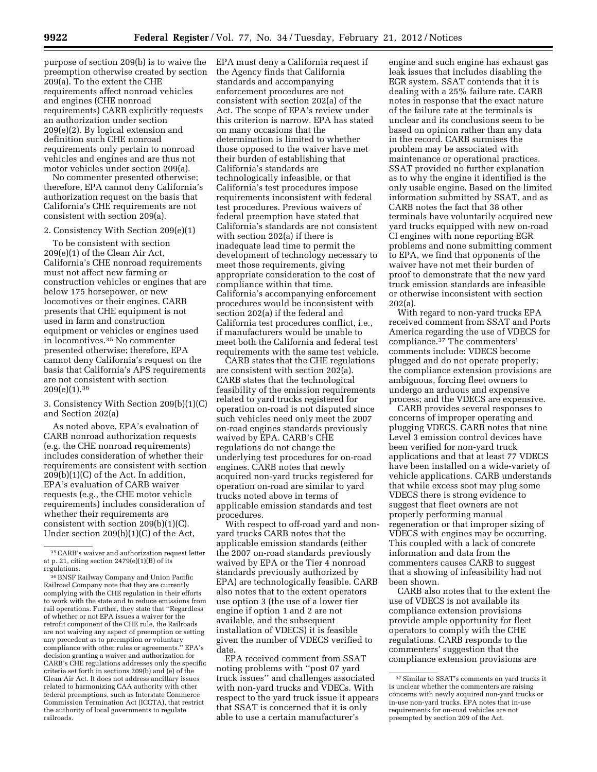purpose of section 209(b) is to waive the preemption otherwise created by section 209(a). To the extent the CHE requirements affect nonroad vehicles and engines (CHE nonroad requirements) CARB explicitly requests an authorization under section 209(e)(2). By logical extension and definition such CHE nonroad requirements only pertain to nonroad vehicles and engines and are thus not motor vehicles under section 209(a).

No commenter presented otherwise; therefore, EPA cannot deny California's authorization request on the basis that California's CHE requirements are not consistent with section 209(a).

### 2. Consistency With Section 209(e)(1)

To be consistent with section 209(e)(1) of the Clean Air Act, California's CHE nonroad requirements must not affect new farming or construction vehicles or engines that are below 175 horsepower, or new locomotives or their engines. CARB presents that CHE equipment is not used in farm and construction equipment or vehicles or engines used in locomotives.35 No commenter presented otherwise; therefore, EPA cannot deny California's request on the basis that California's APS requirements are not consistent with section 209(e)(1).36

# 3. Consistency With Section 209(b)(1)(C) and Section 202(a)

As noted above, EPA's evaluation of CARB nonroad authorization requests (e.g. the CHE nonroad requirements) includes consideration of whether their requirements are consistent with section 209(b)(1)(C) of the Act. In addition, EPA's evaluation of CARB waiver requests (e.g., the CHE motor vehicle requirements) includes consideration of whether their requirements are consistent with section 209(b)(1)(C). Under section 209(b)(1)(C) of the Act,

EPA must deny a California request if the Agency finds that California standards and accompanying enforcement procedures are not consistent with section 202(a) of the Act. The scope of EPA's review under this criterion is narrow. EPA has stated on many occasions that the determination is limited to whether those opposed to the waiver have met their burden of establishing that California's standards are technologically infeasible, or that California's test procedures impose requirements inconsistent with federal test procedures. Previous waivers of federal preemption have stated that California's standards are not consistent with section 202(a) if there is inadequate lead time to permit the development of technology necessary to meet those requirements, giving appropriate consideration to the cost of compliance within that time. California's accompanying enforcement procedures would be inconsistent with section 202(a) if the federal and California test procedures conflict, i.e., if manufacturers would be unable to meet both the California and federal test requirements with the same test vehicle.

CARB states that the CHE regulations are consistent with section 202(a). CARB states that the technological feasibility of the emission requirements related to yard trucks registered for operation on-road is not disputed since such vehicles need only meet the 2007 on-road engines standards previously waived by EPA. CARB's CHE regulations do not change the underlying test procedures for on-road engines. CARB notes that newly acquired non-yard trucks registered for operation on-road are similar to yard trucks noted above in terms of applicable emission standards and test procedures.

With respect to off-road yard and nonyard trucks CARB notes that the applicable emission standards (either the 2007 on-road standards previously waived by EPA or the Tier 4 nonroad standards previously authorized by EPA) are technologically feasible. CARB also notes that to the extent operators use option 3 (the use of a lower tier engine if option 1 and 2 are not available, and the subsequent installation of VDECS) it is feasible given the number of VDECS verified to date.

EPA received comment from SSAT noting problems with ''post 07 yard truck issues'' and challenges associated with non-yard trucks and VDECs. With respect to the yard truck issue it appears that SSAT is concerned that it is only able to use a certain manufacturer's

engine and such engine has exhaust gas leak issues that includes disabling the EGR system. SSAT contends that it is dealing with a 25% failure rate. CARB notes in response that the exact nature of the failure rate at the terminals is unclear and its conclusions seem to be based on opinion rather than any data in the record. CARB surmises the problem may be associated with maintenance or operational practices. SSAT provided no further explanation as to why the engine it identified is the only usable engine. Based on the limited information submitted by SSAT, and as CARB notes the fact that 38 other terminals have voluntarily acquired new yard trucks equipped with new on-road CI engines with none reporting EGR problems and none submitting comment to EPA, we find that opponents of the waiver have not met their burden of proof to demonstrate that the new yard truck emission standards are infeasible or otherwise inconsistent with section 202(a).

With regard to non-yard trucks EPA received comment from SSAT and Ports America regarding the use of VDECS for compliance.37 The commenters' comments include: VDECS become plugged and do not operate properly; the compliance extension provisions are ambiguous, forcing fleet owners to undergo an arduous and expensive process; and the VDECS are expensive.

CARB provides several responses to concerns of improper operating and plugging VDECS. CARB notes that nine Level 3 emission control devices have been verified for non-yard truck applications and that at least 77 VDECS have been installed on a wide-variety of vehicle applications. CARB understands that while excess soot may plug some VDECS there is strong evidence to suggest that fleet owners are not properly performing manual regeneration or that improper sizing of VDECS with engines may be occurring. This coupled with a lack of concrete information and data from the commenters causes CARB to suggest that a showing of infeasibility had not been shown.

CARB also notes that to the extent the use of VDECS is not available its compliance extension provisions provide ample opportunity for fleet operators to comply with the CHE regulations. CARB responds to the commenters' suggestion that the compliance extension provisions are

<sup>35</sup>CARB's waiver and authorization request letter at p. 21, citing section 2479(e)(1)(B) of its regulations.

<sup>36</sup>BNSF Railway Company and Union Pacific Railroad Company note that they are currently complying with the CHE regulation in their efforts to work with the state and to reduce emissions from rail operations. Further, they state that ''Regardless of whether or not EPA issues a waiver for the retrofit component of the CHE rule, the Railroads are not waiving any aspect of preemption or setting any precedent as to preemption or voluntary compliance with other rules or agreements.'' EPA's decision granting a waiver and authorization for CARB's CHE regulations addresses only the specific criteria set forth in sections 209(b) and (e) of the Clean Air Act. It does not address ancillary issues related to harmonizing CAA authority with other federal preemptions, such as Interstate Commerce Commission Termination Act (ICCTA), that restrict the authority of local governments to regulate railroads.

<sup>37</sup>Similar to SSAT's comments on yard trucks it is unclear whether the commenters are raising concerns with newly acquired non-yard trucks or in-use non-yard trucks. EPA notes that in-use requirements for on-road vehicles are not preempted by section 209 of the Act.